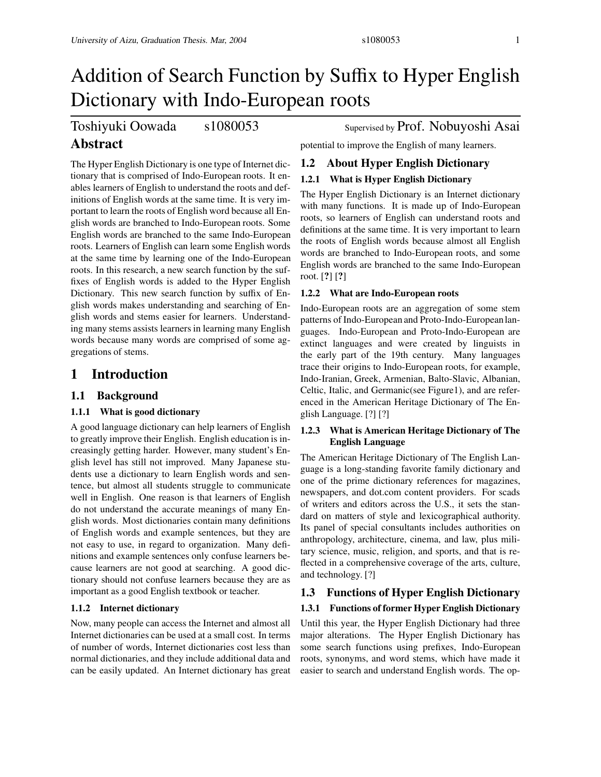# Toshiyuki Oowada s1080053 Supervised by Prof. Nobuyoshi Asai

# **Abstract**

The Hyper English Dictionary is one type of Internet dictionary that is comprised of Indo-European roots. It enables learners of English to understand the roots and definitions of English words at the same time. It is very important to learn the roots of English word because all English words are branched to Indo-European roots. Some English words are branched to the same Indo-European roots. Learners of English can learn some English words at the same time by learning one of the Indo-European roots. In this research, a new search function by the suffixes of English words is added to the Hyper English Dictionary. This new search function by suffix of English words makes understanding and searching of English words and stems easier for learners. Understanding many stems assists learners in learning many English words because many words are comprised of some aggregations of stems.

# **1 Introduction**

# **1.1 Background**

## **1.1.1 What is good dictionary**

A good language dictionary can help learners of English to greatly improve their English. English education is increasingly getting harder. However, many student's English level has still not improved. Many Japanese students use a dictionary to learn English words and sentence, but almost all students struggle to communicate well in English. One reason is that learners of English do not understand the accurate meanings of many English words. Most dictionaries contain many definitions of English words and example sentences, but they are not easy to use, in regard to organization. Many definitions and example sentences only confuse learners because learners are not good at searching. A good dictionary should not confuse learners because they are as important as a good English textbook or teacher.

## **1.1.2 Internet dictionary**

Now, many people can access the Internet and almost all Internet dictionaries can be used at a small cost. In terms of number of words, Internet dictionaries cost less than normal dictionaries, and they include additional data and can be easily updated. An Internet dictionary has great

potential to improve the English of many learners.

# **1.2 About Hyper English Dictionary**

# **1.2.1 What is Hyper English Dictionary**

The Hyper English Dictionary is an Internet dictionary with many functions. It is made up of Indo-European roots, so learners of English can understand roots and definitions at the same time. It is very important to learn the roots of English words because almost all English words are branched to Indo-European roots, and some English words are branched to the same Indo-European root. [**?**] [**?**]

## **1.2.2 What are Indo-European roots**

Indo-European roots are an aggregation of some stem patterns of Indo-European and Proto-Indo-Europeanlanguages. Indo-European and Proto-Indo-European are extinct languages and were created by linguists in the early part of the 19th century. Many languages trace their origins to Indo-European roots, for example, Indo-Iranian, Greek, Armenian, Balto-Slavic, Albanian, Celtic, Italic, and Germanic(see Figure1), and are referenced in the American Heritage Dictionary of The English Language. [?] [?]

## **1.2.3 What is American Heritage Dictionary of The English Language**

The American Heritage Dictionary of The English Language is a long-standing favorite family dictionary and one of the prime dictionary references for magazines, newspapers, and dot.com content providers. For scads of writers and editors across the U.S., it sets the standard on matters of style and lexicographical authority. Its panel of special consultants includes authorities on anthropology, architecture, cinema, and law, plus military science, music, religion, and sports, and that is reflected in a comprehensive coverage of the arts, culture, and technology. [?]

# **1.3 Functions of Hyper English Dictionary 1.3.1 Functions of former Hyper English Dictionary**

Until this year, the Hyper English Dictionary had three major alterations. The Hyper English Dictionary has some search functions using prefixes, Indo-European roots, synonyms, and word stems, which have made it easier to search and understand English words. The op-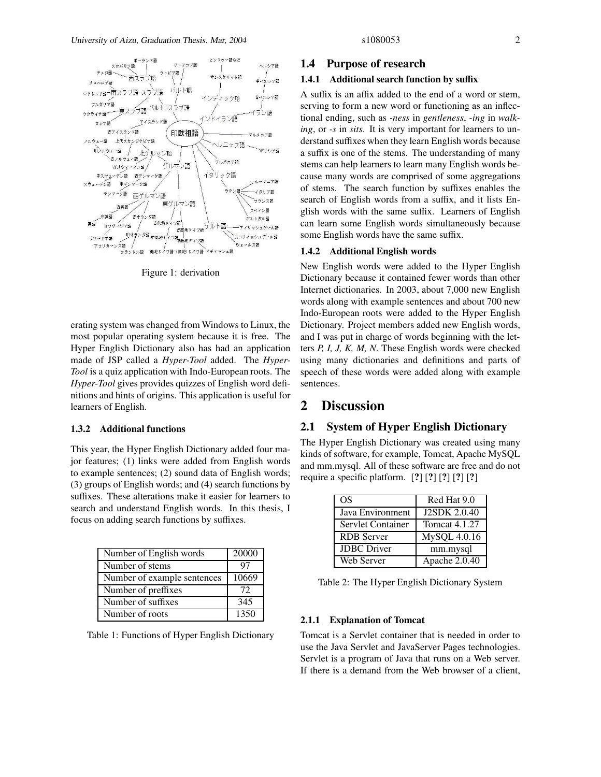

Figure 1: derivation

erating system was changed from Windows to Linux, the most popular operating system because it is free. The Hyper English Dictionary also has had an application made of JSP called a *Hyper-Tool* added. The *Hyper-Tool* is a quiz application with Indo-European roots. The *Hyper-Tool* gives provides quizzes of English word definitions and hints of origins. This application is useful for learners of English.

#### **1.3.2 Additional functions**

This year, the Hyper English Dictionary added four major features; (1) links were added from English words to example sentences; (2) sound data of English words; (3) groups of English words; and (4) search functions by suffixes. These alterations make it easier for learners to search and understand English words. In this thesis, I focus on adding search functions by suffixes.

| Number of English words     | 20000 |
|-----------------------------|-------|
| Number of stems             | 97    |
| Number of example sentences | 10669 |
| Number of preffixes         | 72    |
| Number of suffixes          | 345   |
| Number of roots             | 1350  |

Table 1: Functions of Hyper English Dictionary

#### **1.4 Purpose of research**

#### **1.4.1 Additional search function by su**ffi**x**

A suffix is an affix added to the end of a word or stem, serving to form a new word or functioning as an inflectional ending, such as *-ness* in *gentleness*, *-ing* in *walking*, or *-s* in *sits*. It is very important for learners to understand suffixes when they learn English words because a suffix is one of the stems. The understanding of many stems can help learners to learn many English words because many words are comprised of some aggregations of stems. The search function by suffixes enables the search of English words from a suffix, and it lists English words with the same suffix. Learners of English can learn some English words simultaneously because some English words have the same suffix.

#### **1.4.2 Additional English words**

New English words were added to the Hyper English Dictionary because it contained fewer words than other Internet dictionaries. In 2003, about 7,000 new English words along with example sentences and about 700 new Indo-European roots were added to the Hyper English Dictionary. Project members added new English words, and I was put in charge of words beginning with the letters *P, I, J, K, M, N*. These English words were checked using many dictionaries and definitions and parts of speech of these words were added along with example sentences.

# **2 Discussion**

# **2.1 System of Hyper English Dictionary**

The Hyper English Dictionary was created using many kinds of software, for example, Tomcat, Apache MySQL and mm.mysql. All of these software are free and do not require a specific platform. [**?**] [**?**] [**?**] [**?**] [**?**]

| OS.                | Red Hat 9.0          |
|--------------------|----------------------|
| Java Environment   | <b>J2SDK 2.0.40</b>  |
| Servlet Container  | <b>Tomcat 4.1.27</b> |
| <b>RDB</b> Server  | MySQL 4.0.16         |
| <b>JDBC</b> Driver | mm.mysql             |
| Web Server         | Apache 2.0.40        |

Table 2: The Hyper English Dictionary System

#### **2.1.1 Explanation of Tomcat**

Tomcat is a Servlet container that is needed in order to use the Java Servlet and JavaServer Pages technologies. Servlet is a program of Java that runs on a Web server. If there is a demand from the Web browser of a client,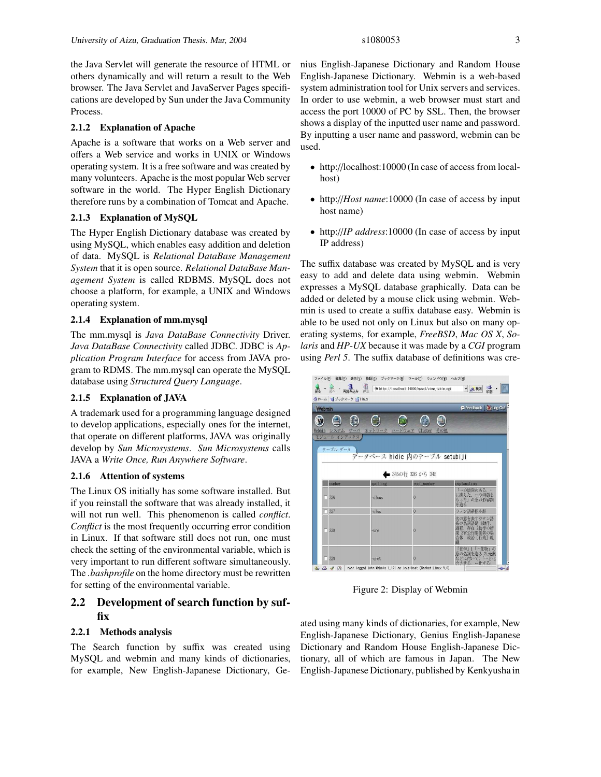the Java Servlet will generate the resource of HTML or others dynamically and will return a result to the Web browser. The Java Servlet and JavaServer Pages specifications are developed by Sun under the Java Community Process.

#### **2.1.2 Explanation of Apache**

Apache is a software that works on a Web server and offers a Web service and works in UNIX or Windows operating system. It is a free software and was created by many volunteers. Apache is the most popular Web server software in the world. The Hyper English Dictionary therefore runs by a combination of Tomcat and Apache.

#### **2.1.3 Explanation of MySQL**

The Hyper English Dictionary database was created by using MySQL, which enables easy addition and deletion of data. MySQL is *Relational DataBase Management System* that it is open source. *Relational DataBase Management System* is called RDBMS. MySQL does not choose a platform, for example, a UNIX and Windows operating system.

#### **2.1.4 Explanation of mm.mysql**

The mm.mysql is *Java DataBase Connectivity* Driver. *Java DataBase Connectivity* called JDBC. JDBC is *Application Program Interface* for access from JAVA program to RDMS. The mm.mysql can operate the MySQL database using *Structured Query Language*.

#### **2.1.5 Explanation of JAVA**

A trademark used for a programming language designed to develop applications, especially ones for the internet, that operate on different platforms, JAVA was originally develop by *Sun Microsystems*. *Sun Microsystems* calls JAVA a *Write Once, Run Anywhere Software*.

#### **2.1.6 Attention of systems**

The Linux OS initially has some software installed. But if you reinstall the software that was already installed, it will not run well. This phenomenon is called *conflict*. *Conflict* is the most frequently occurring error condition in Linux. If that software still does not run, one must check the setting of the environmental variable, which is very important to run different software simultaneously. The *.bashprofile* on the home directory must be rewritten for setting of the environmental variable.

# **2.2 Development of search function by suffix**

#### **2.2.1 Methods analysis**

The Search function by suffix was created using MySQL and webmin and many kinds of dictionaries, for example, New English-Japanese Dictionary, Genius English-Japanese Dictionary and Random House English-Japanese Dictionary. Webmin is a web-based system administration tool for Unix servers and services. In order to use webmin, a web browser must start and access the port 10000 of PC by SSL. Then, the browser shows a display of the inputted user name and password. By inputting a user name and password, webmin can be used.

- http://localhost:10000 (In case of access from localhost)
- http://*Host name*:10000 (In case of access by input host name)
- http://*IP address*:10000 (In case of access by input IP address)

The suffix database was created by MySQL and is very easy to add and delete data using webmin. Webmin expresses a MySQL database graphically. Data can be added or deleted by a mouse click using webmin. Webmin is used to create a suffix database easy. Webmin is able to be used not only on Linux but also on many operating systems, for example, *FreeBSD*, *Mac OS X*, *Solaris* and *HP-UX* because it was made by a *CGI* program using *Perl 5*. The suffix database of definitions was cre-



Figure 2: Display of Webmin

ated using many kinds of dictionaries, for example, New English-Japanese Dictionary, Genius English-Japanese Dictionary and Random House English-Japanese Dictionary, all of which are famous in Japan. The New English-Japanese Dictionary, published by Kenkyusha in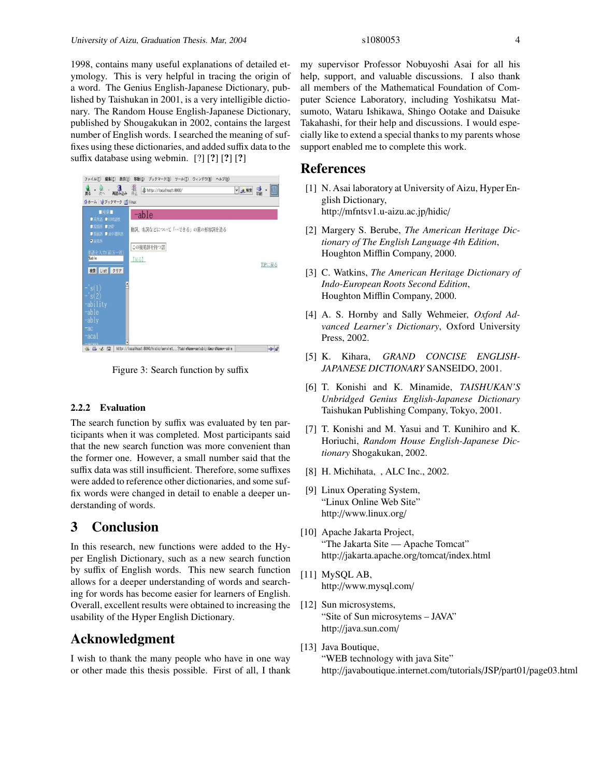1998, contains many useful explanations of detailed etymology. This is very helpful in tracing the origin of a word. The Genius English-Japanese Dictionary, published by Taishukan in 2001, is a very intelligible dictionary. The Random House English-Japanese Dictionary, published by Shougakukan in 2002, contains the largest number of English words. I searched the meaning of suffixes using these dictionaries, and added suffix data to the suffix database using webmin. [?] [**?**] [**?**] [**?**]



Figure 3: Search function by suffix

#### **2.2.2 Evaluation**

The search function by suffix was evaluated by ten participants when it was completed. Most participants said that the new search function was more convenient than the former one. However, a small number said that the suffix data was still insufficient. Therefore, some suffixes were added to reference other dictionaries, and some suffix words were changed in detail to enable a deeper understanding of words.

# **3 Conclusion**

In this research, new functions were added to the Hyper English Dictionary, such as a new search function by suffix of English words. This new search function allows for a deeper understanding of words and searching for words has become easier for learners of English. Overall, excellent results were obtained to increasing the usability of the Hyper English Dictionary.

# **Acknowledgment**

I wish to thank the many people who have in one way or other made this thesis possible. First of all, I thank

my supervisor Professor Nobuyoshi Asai for all his help, support, and valuable discussions. I also thank all members of the Mathematical Foundation of Computer Science Laboratory, including Yoshikatsu Matsumoto, Wataru Ishikawa, Shingo Ootake and Daisuke Takahashi, for their help and discussions. I would especially like to extend a special thanks to my parents whose support enabled me to complete this work.

## **References**

- [1] N. Asai laboratory at University of Aizu, Hyper English Dictionary, http://mfntsv1.u-aizu.ac.jp/hidic/
- [2] Margery S. Berube, *The American Heritage Dictionary of The English Language 4th Edition*, Houghton Mifflin Company, 2000.
- [3] C. Watkins, *The American Heritage Dictionary of Indo-European Roots Second Edition*, Houghton Mifflin Company, 2000.
- [4] A. S. Hornby and Sally Wehmeier, *Oxford Advanced Learner's Dictionary*, Oxford University Press, 2002.
- [5] K. Kihara, *GRAND CONCISE ENGLISH-JAPANESE DICTIONARY* SANSEIDO, 2001.
- [6] T. Konishi and K. Minamide, *TAISHUKAN'S Unbridged Genius English-Japanese Dictionary* Taishukan Publishing Company, Tokyo, 2001.
- [7] T. Konishi and M. Yasui and T. Kunihiro and K. Horiuchi, *Random House English-Japanese Dictionary* Shogakukan, 2002.
- [8] H. Michihata, , ALC Inc., 2002.
- [9] Linux Operating System, "Linux Online Web Site" http://www.linux.org/
- [10] Apache Jakarta Project, "The Jakarta Site — Apache Tomcat" http://jakarta.apache.org/tomcat/index.html
- [11] MySQL AB, http://www.mysql.com/
- [12] Sun microsystems, "Site of Sun microsytems – JAVA" http://java.sun.com/
- [13] Java Boutique, "WEB technology with java Site" http://javaboutique.internet.com/tutorials/JSP/part01/page03.html